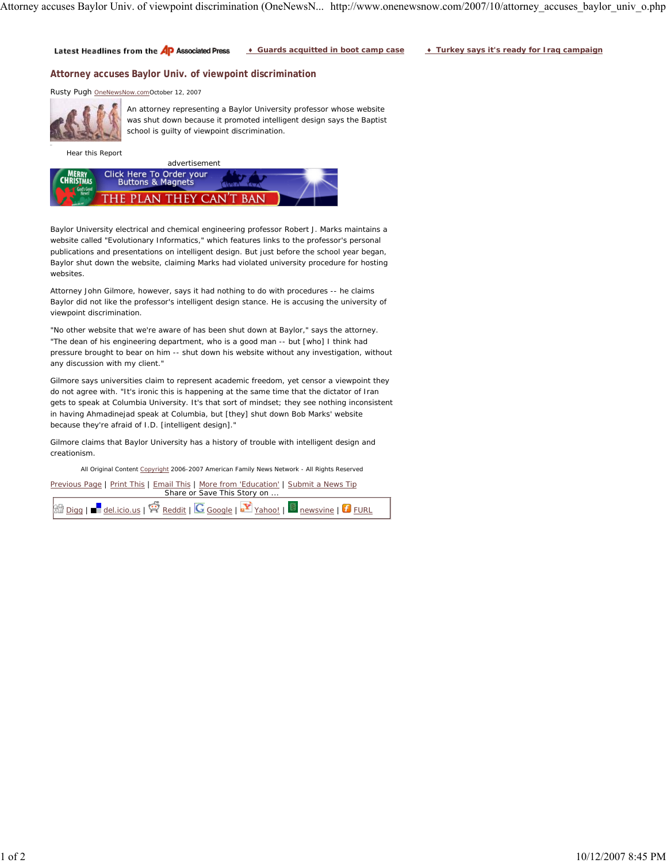♦ **Guards acquitted in boot camp case** ♦ **Turkey says it's ready for Iraq campaign** Latest Headlines from the AP Associated Press

## **Attorney accuses Baylor Univ. of viewpoint discrimination**

Rusty Pugh OneNewsNow.comOctober 12, 2007



An attorney representing a Baylor University professor whose website was shut down because it promoted intelligent design says the Baptist school is guilty of viewpoint discrimination.

Hear this Report



Baylor University electrical and chemical engineering professor Robert J. Marks maintains a website called "Evolutionary Informatics," which features links to the professor's personal publications and presentations on intelligent design. But just before the school year began, Baylor shut down the website, claiming Marks had violated university procedure for hosting websites.

Attorney John Gilmore, however, says it had nothing to do with procedures -- he claims Baylor did not like the professor's intelligent design stance. He is accusing the university of viewpoint discrimination.

"No other website that we're aware of has been shut down at Baylor," says the attorney. "The dean of his engineering department, who is a good man -- but [who] I think had pressure brought to bear on him -- shut down his website without any investigation, without any discussion with my client."

Gilmore says universities claim to represent academic freedom, yet censor a viewpoint they do not agree with. "It's ironic this is happening at the same time that the dictator of Iran gets to speak at Columbia University. It's that sort of mindset; they see nothing inconsistent in having Ahmadinejad speak at Columbia, but [they] shut down Bob Marks' website because they're afraid of I.D. [intelligent design]."

Gilmore claims that Baylor University has a history of trouble with intelligent design and creationism.

All Original Content Copyright 2006-2007 American Family News Network - All Rights Reserved

Previous Page | Print This | Email This | More from 'Education' | Submit a News Tip